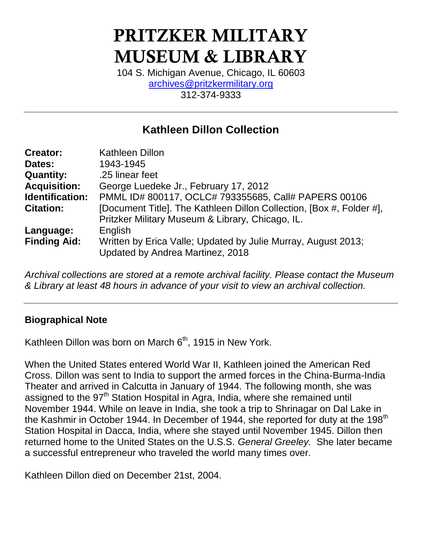# **PRITZKER MILITARY MUSEUM & LIBRARY**

104 S. Michigan Avenue, Chicago, IL 60603 [archives@pritzkermilitary.org](mailto:archives@pritzkermilitary.org) 312-374-9333

# **Kathleen Dillon Collection**

| <b>Creator:</b>        | <b>Kathleen Dillon</b>                                                                            |
|------------------------|---------------------------------------------------------------------------------------------------|
| Dates:                 | 1943-1945                                                                                         |
| <b>Quantity:</b>       | .25 linear feet                                                                                   |
| <b>Acquisition:</b>    | George Luedeke Jr., February 17, 2012                                                             |
| <b>Identification:</b> | PMML ID# 800117, OCLC# 793355685, Call# PAPERS 00106                                              |
| <b>Citation:</b>       | [Document Title]. The Kathleen Dillon Collection, [Box #, Folder #],                              |
|                        | Pritzker Military Museum & Library, Chicago, IL.                                                  |
| Language:              | English                                                                                           |
| <b>Finding Aid:</b>    | Written by Erica Valle; Updated by Julie Murray, August 2013;<br>Updated by Andrea Martinez, 2018 |

*Archival collections are stored at a remote archival facility. Please contact the Museum & Library at least 48 hours in advance of your visit to view an archival collection.*

#### **Biographical Note**

Kathleen Dillon was born on March  $6<sup>th</sup>$ , 1915 in New York.

When the United States entered World War II, Kathleen joined the American Red Cross. Dillon was sent to India to support the armed forces in the China-Burma-India Theater and arrived in Calcutta in January of 1944. The following month, she was assigned to the 97<sup>th</sup> Station Hospital in Agra, India, where she remained until November 1944. While on leave in India, she took a trip to Shrinagar on Dal Lake in the Kashmir in October 1944. In December of 1944, she reported for duty at the 198 $<sup>th</sup>$ </sup> Station Hospital in Dacca, India, where she stayed until November 1945. Dillon then returned home to the United States on the U.S.S. *General Greeley.* She later became a successful entrepreneur who traveled the world many times over.

Kathleen Dillon died on December 21st, 2004.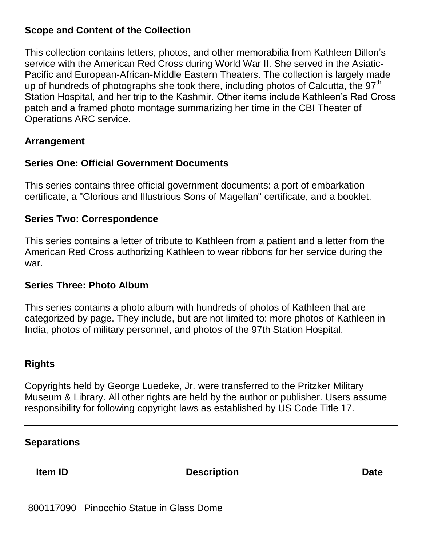#### **Scope and Content of the Collection**

This collection contains letters, photos, and other memorabilia from Kathleen Dillon's service with the American Red Cross during World War II. She served in the Asiatic-Pacific and European-African-Middle Eastern Theaters. The collection is largely made up of hundreds of photographs she took there, including photos of Calcutta, the  $97<sup>th</sup>$ Station Hospital, and her trip to the Kashmir. Other items include Kathleen's Red Cross patch and a framed photo montage summarizing her time in the CBI Theater of Operations ARC service.

#### **Arrangement**

#### **Series One: Official Government Documents**

This series contains three official government documents: a port of embarkation certificate, a "Glorious and Illustrious Sons of Magellan" certificate, and a booklet.

#### **Series Two: Correspondence**

This series contains a letter of tribute to Kathleen from a patient and a letter from the American Red Cross authorizing Kathleen to wear ribbons for her service during the war.

#### **Series Three: Photo Album**

This series contains a photo album with hundreds of photos of Kathleen that are categorized by page. They include, but are not limited to: more photos of Kathleen in India, photos of military personnel, and photos of the 97th Station Hospital.

#### **Rights**

Copyrights held by George Luedeke, Jr. were transferred to the Pritzker Military Museum & Library. All other rights are held by the author or publisher. Users assume responsibility for following copyright laws as established by US Code Title 17.

### **Separations**

**Item ID Description Description Date** 

800117090 Pinocchio Statue in Glass Dome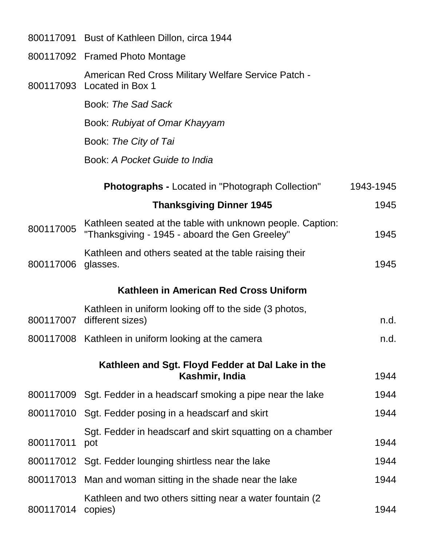|           | 800117091 Bust of Kathleen Dillon, circa 1944                                                                |           |
|-----------|--------------------------------------------------------------------------------------------------------------|-----------|
|           | 800117092 Framed Photo Montage                                                                               |           |
| 800117093 | American Red Cross Military Welfare Service Patch -<br>Located in Box 1                                      |           |
|           | Book: The Sad Sack                                                                                           |           |
|           | Book: Rubiyat of Omar Khayyam                                                                                |           |
|           | Book: The City of Tai                                                                                        |           |
|           | Book: A Pocket Guide to India                                                                                |           |
|           | <b>Photographs - Located in "Photograph Collection"</b>                                                      | 1943-1945 |
|           | <b>Thanksgiving Dinner 1945</b>                                                                              | 1945      |
| 800117005 | Kathleen seated at the table with unknown people. Caption:<br>"Thanksgiving - 1945 - aboard the Gen Greeley" | 1945      |
| 800117006 | Kathleen and others seated at the table raising their<br>glasses.                                            | 1945      |
|           | Kathleen in American Red Cross Uniform                                                                       |           |
| 800117007 | Kathleen in uniform looking off to the side (3 photos,<br>different sizes)                                   | n.d.      |
|           | 800117008 Kathleen in uniform looking at the camera                                                          | n.d.      |
|           | Kathleen and Sgt. Floyd Fedder at Dal Lake in the<br>Kashmir, India                                          | 1944      |
|           | 800117009 Sgt. Fedder in a headscarf smoking a pipe near the lake                                            | 1944      |
|           | 800117010 Sgt. Fedder posing in a headscarf and skirt                                                        | 1944      |
| 800117011 | Sgt. Fedder in headscarf and skirt squatting on a chamber<br>pot                                             | 1944      |
|           | 800117012 Sgt. Fedder lounging shirtless near the lake                                                       | 1944      |
|           | 800117013 Man and woman sitting in the shade near the lake                                                   | 1944      |
| 800117014 | Kathleen and two others sitting near a water fountain (2)<br>copies)                                         | 1944      |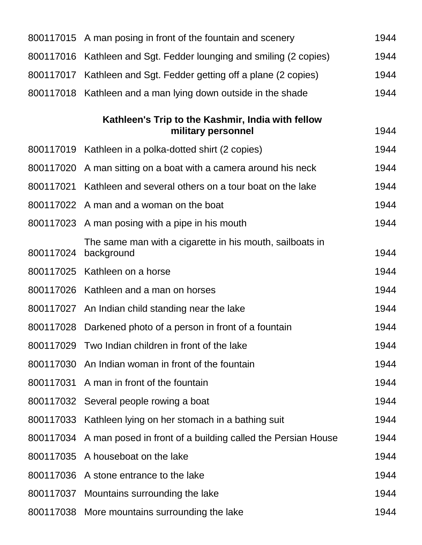|           | 800117015 A man posing in front of the fountain and scenery             | 1944 |
|-----------|-------------------------------------------------------------------------|------|
| 800117016 | Kathleen and Sgt. Fedder lounging and smiling (2 copies)                | 1944 |
| 800117017 | Kathleen and Sgt. Fedder getting off a plane (2 copies)                 | 1944 |
|           | 800117018 Kathleen and a man lying down outside in the shade            | 1944 |
|           | Kathleen's Trip to the Kashmir, India with fellow<br>military personnel | 1944 |
|           | 800117019 Kathleen in a polka-dotted shirt (2 copies)                   | 1944 |
|           | 800117020 A man sitting on a boat with a camera around his neck         | 1944 |
| 800117021 | Kathleen and several others on a tour boat on the lake                  | 1944 |
|           | 800117022 A man and a woman on the boat                                 | 1944 |
|           | 800117023 A man posing with a pipe in his mouth                         | 1944 |
| 800117024 | The same man with a cigarette in his mouth, sailboats in<br>background  | 1944 |
|           | 800117025 Kathleen on a horse                                           | 1944 |
|           | 800117026 Kathleen and a man on horses                                  | 1944 |
|           | 800117027 An Indian child standing near the lake                        | 1944 |
| 800117028 | Darkened photo of a person in front of a fountain                       | 1944 |
|           | 800117029 Two Indian children in front of the lake                      | 1944 |
|           | 800117030 An Indian woman in front of the fountain                      | 1944 |
|           | 800117031 A man in front of the fountain                                | 1944 |
|           | 800117032 Several people rowing a boat                                  | 1944 |
|           | 800117033 Kathleen lying on her stomach in a bathing suit               | 1944 |
|           | 800117034 A man posed in front of a building called the Persian House   | 1944 |
|           | 800117035 A houseboat on the lake                                       | 1944 |
|           | 800117036 A stone entrance to the lake                                  | 1944 |
|           | 800117037 Mountains surrounding the lake                                | 1944 |
|           | 800117038 More mountains surrounding the lake                           | 1944 |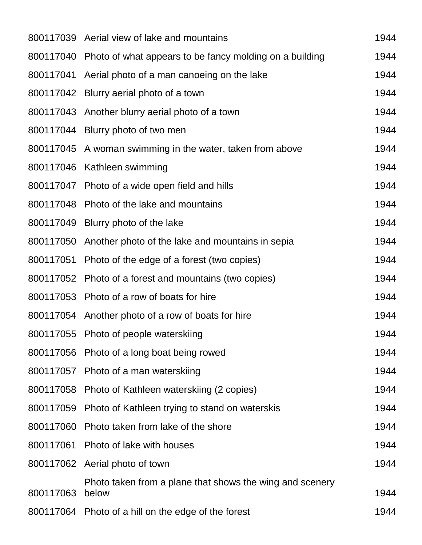|           | 800117039 Aerial view of lake and mountains                       | 1944 |
|-----------|-------------------------------------------------------------------|------|
|           | 800117040 Photo of what appears to be fancy molding on a building | 1944 |
|           | 800117041 Aerial photo of a man canoeing on the lake              | 1944 |
|           | 800117042 Blurry aerial photo of a town                           | 1944 |
|           | 800117043 Another blurry aerial photo of a town                   | 1944 |
|           | 800117044 Blurry photo of two men                                 | 1944 |
|           | 800117045 A woman swimming in the water, taken from above         | 1944 |
|           | 800117046 Kathleen swimming                                       | 1944 |
|           | 800117047 Photo of a wide open field and hills                    | 1944 |
|           | 800117048 Photo of the lake and mountains                         | 1944 |
|           | 800117049 Blurry photo of the lake                                | 1944 |
|           | 800117050 Another photo of the lake and mountains in sepia        | 1944 |
|           | 800117051 Photo of the edge of a forest (two copies)              | 1944 |
|           | 800117052 Photo of a forest and mountains (two copies)            | 1944 |
|           | 800117053 Photo of a row of boats for hire                        | 1944 |
|           | 800117054 Another photo of a row of boats for hire                | 1944 |
|           | 800117055 Photo of people waterskiing                             | 1944 |
|           | 800117056 Photo of a long boat being rowed                        | 1944 |
|           | 800117057 Photo of a man waterskiing                              | 1944 |
|           | 800117058 Photo of Kathleen waterskiing (2 copies)                | 1944 |
| 800117059 | Photo of Kathleen trying to stand on waterskis                    | 1944 |
|           | 800117060 Photo taken from lake of the shore                      | 1944 |
|           | 800117061 Photo of lake with houses                               | 1944 |
|           | 800117062 Aerial photo of town                                    | 1944 |
| 800117063 | Photo taken from a plane that shows the wing and scenery<br>below | 1944 |
|           | 800117064 Photo of a hill on the edge of the forest               | 1944 |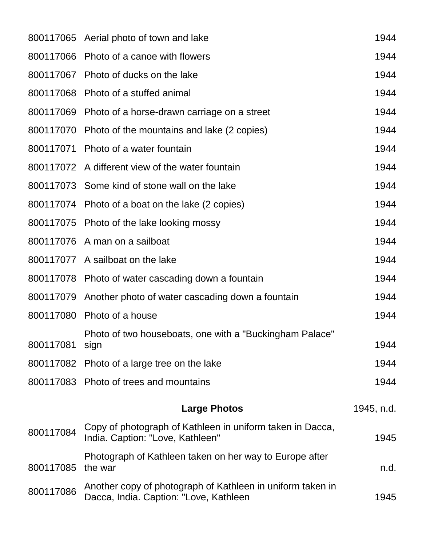|           | 800117065 Aerial photo of town and lake                                                              | 1944       |
|-----------|------------------------------------------------------------------------------------------------------|------------|
|           | 800117066 Photo of a canoe with flowers                                                              | 1944       |
|           | 800117067 Photo of ducks on the lake                                                                 | 1944       |
| 800117068 | Photo of a stuffed animal                                                                            | 1944       |
|           | 800117069 Photo of a horse-drawn carriage on a street                                                | 1944       |
|           | 800117070 Photo of the mountains and lake (2 copies)                                                 | 1944       |
|           | 800117071 Photo of a water fountain                                                                  | 1944       |
|           | 800117072 A different view of the water fountain                                                     | 1944       |
|           | 800117073 Some kind of stone wall on the lake                                                        | 1944       |
|           | 800117074 Photo of a boat on the lake (2 copies)                                                     | 1944       |
|           | 800117075 Photo of the lake looking mossy                                                            | 1944       |
|           | 800117076 A man on a sailboat                                                                        | 1944       |
|           | 800117077 A sailboat on the lake                                                                     | 1944       |
|           | 800117078 Photo of water cascading down a fountain                                                   | 1944       |
|           | 800117079 Another photo of water cascading down a fountain                                           | 1944       |
| 800117080 | Photo of a house                                                                                     | 1944       |
| 800117081 | Photo of two houseboats, one with a "Buckingham Palace"<br>sign                                      | 1944       |
|           | 800117082 Photo of a large tree on the lake                                                          | 1944       |
|           | 800117083 Photo of trees and mountains                                                               | 1944       |
|           | <b>Large Photos</b>                                                                                  | 1945, n.d. |
| 800117084 | Copy of photograph of Kathleen in uniform taken in Dacca,<br>India. Caption: "Love, Kathleen"        | 1945       |
| 800117085 | Photograph of Kathleen taken on her way to Europe after<br>the war                                   | n.d.       |
| 800117086 | Another copy of photograph of Kathleen in uniform taken in<br>Dacca, India. Caption: "Love, Kathleen | 1945       |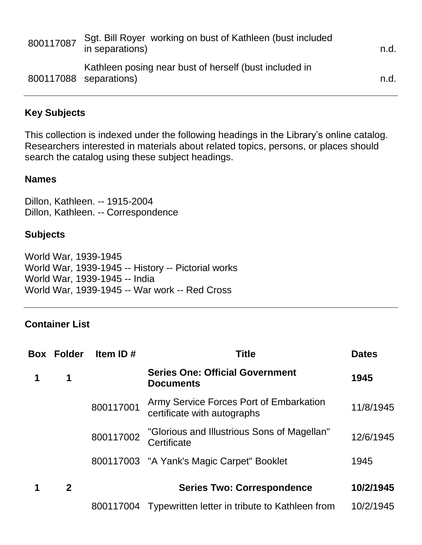| 800117087 | Sqt. Bill Royer working on bust of Kathleen (bust included<br>in separations)    | n.d. |
|-----------|----------------------------------------------------------------------------------|------|
|           | Kathleen posing near bust of herself (bust included in<br>800117088 separations) | n.d. |

#### **Key Subjects**

This collection is indexed under the following headings in the Library's online catalog. Researchers interested in materials about related topics, persons, or places should search the catalog using these subject headings.

#### **Names**

Dillon, Kathleen. -- 1915-2004 Dillon, Kathleen. -- Correspondence

#### **Subjects**

World War, 1939-1945 World War, 1939-1945 -- History -- Pictorial works World War, 1939-1945 -- India World War, 1939-1945 -- War work -- Red Cross

## **Container List**

| Box | <b>Folder</b> | Item ID#  | <b>Title</b>                                                           | <b>Dates</b> |
|-----|---------------|-----------|------------------------------------------------------------------------|--------------|
| 1   | 1             |           | <b>Series One: Official Government</b><br><b>Documents</b>             | 1945         |
|     |               | 800117001 | Army Service Forces Port of Embarkation<br>certificate with autographs | 11/8/1945    |
|     |               | 800117002 | "Glorious and Illustrious Sons of Magellan"<br>Certificate             | 12/6/1945    |
|     |               |           | 800117003 "A Yank's Magic Carpet" Booklet                              | 1945         |
|     | $\mathbf 2$   |           | <b>Series Two: Correspondence</b>                                      | 10/2/1945    |
|     |               | 800117004 | Typewritten letter in tribute to Kathleen from                         | 10/2/1945    |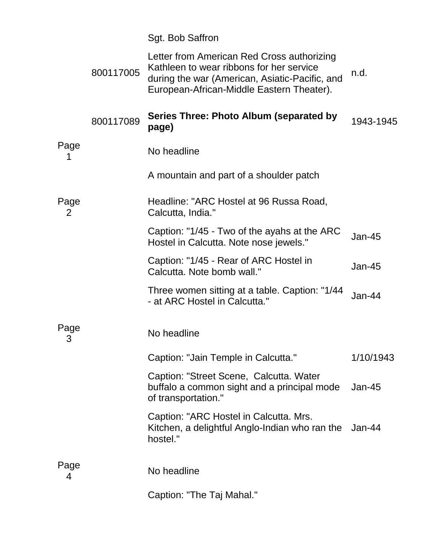|           |           | Sgt. Bob Saffron                                                                                                                                                                      |               |
|-----------|-----------|---------------------------------------------------------------------------------------------------------------------------------------------------------------------------------------|---------------|
|           | 800117005 | Letter from American Red Cross authorizing<br>Kathleen to wear ribbons for her service<br>during the war (American, Asiatic-Pacific, and<br>European-African-Middle Eastern Theater). | n.d.          |
|           | 800117089 | Series Three: Photo Album (separated by<br>page)                                                                                                                                      | 1943-1945     |
| Page      |           | No headline                                                                                                                                                                           |               |
|           |           | A mountain and part of a shoulder patch                                                                                                                                               |               |
| Page<br>2 |           | Headline: "ARC Hostel at 96 Russa Road,<br>Calcutta, India."                                                                                                                          |               |
|           |           | Caption: "1/45 - Two of the ayahs at the ARC<br>Hostel in Calcutta. Note nose jewels."                                                                                                | <b>Jan-45</b> |
|           |           | Caption: "1/45 - Rear of ARC Hostel in<br>Calcutta. Note bomb wall."                                                                                                                  | $Jan-45$      |
|           |           | Three women sitting at a table. Caption: "1/44<br>- at ARC Hostel in Calcutta."                                                                                                       | $Jan-44$      |
| Page<br>3 |           | No headline                                                                                                                                                                           |               |
|           |           | Caption: "Jain Temple in Calcutta."                                                                                                                                                   | 1/10/1943     |
|           |           | Caption: "Street Scene, Calcutta. Water<br>buffalo a common sight and a principal mode<br>of transportation."                                                                         | $Jan-45$      |
|           |           | Caption: "ARC Hostel in Calcutta. Mrs.<br>Kitchen, a delightful Anglo-Indian who ran the<br>hostel."                                                                                  | $Jan-44$      |
| Page<br>4 |           | No headline                                                                                                                                                                           |               |
|           |           | Caption: "The Taj Mahal."                                                                                                                                                             |               |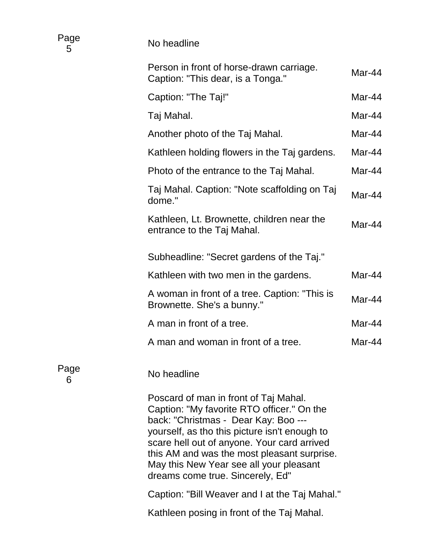| Page<br>5 | No headline                                                                                                                                                                                                                                                                                                                                               |        |
|-----------|-----------------------------------------------------------------------------------------------------------------------------------------------------------------------------------------------------------------------------------------------------------------------------------------------------------------------------------------------------------|--------|
|           | Person in front of horse-drawn carriage.<br>Caption: "This dear, is a Tonga."                                                                                                                                                                                                                                                                             | Mar-44 |
|           | Caption: "The Taj!"                                                                                                                                                                                                                                                                                                                                       | Mar-44 |
|           | Taj Mahal.                                                                                                                                                                                                                                                                                                                                                | Mar-44 |
|           | Another photo of the Taj Mahal.                                                                                                                                                                                                                                                                                                                           | Mar-44 |
|           | Kathleen holding flowers in the Taj gardens.                                                                                                                                                                                                                                                                                                              | Mar-44 |
|           | Photo of the entrance to the Taj Mahal.                                                                                                                                                                                                                                                                                                                   | Mar-44 |
|           | Taj Mahal. Caption: "Note scaffolding on Taj<br>dome."                                                                                                                                                                                                                                                                                                    | Mar-44 |
|           | Kathleen, Lt. Brownette, children near the<br>entrance to the Taj Mahal.                                                                                                                                                                                                                                                                                  | Mar-44 |
|           | Subheadline: "Secret gardens of the Taj."                                                                                                                                                                                                                                                                                                                 |        |
|           | Kathleen with two men in the gardens.                                                                                                                                                                                                                                                                                                                     | Mar-44 |
|           | A woman in front of a tree. Caption: "This is<br>Brownette. She's a bunny."                                                                                                                                                                                                                                                                               | Mar-44 |
|           | A man in front of a tree.                                                                                                                                                                                                                                                                                                                                 | Mar-44 |
|           | A man and woman in front of a tree.                                                                                                                                                                                                                                                                                                                       | Mar-44 |
| Page<br>6 | No headline                                                                                                                                                                                                                                                                                                                                               |        |
|           | Poscard of man in front of Taj Mahal.<br>Caption: "My favorite RTO officer." On the<br>back: "Christmas - Dear Kay: Boo ---<br>yourself, as tho this picture isn't enough to<br>scare hell out of anyone. Your card arrived<br>this AM and was the most pleasant surprise.<br>May this New Year see all your pleasant<br>dreams come true. Sincerely, Ed" |        |
|           | Caption: "Bill Weaver and I at the Taj Mahal."                                                                                                                                                                                                                                                                                                            |        |
|           | Kathleen posing in front of the Taj Mahal.                                                                                                                                                                                                                                                                                                                |        |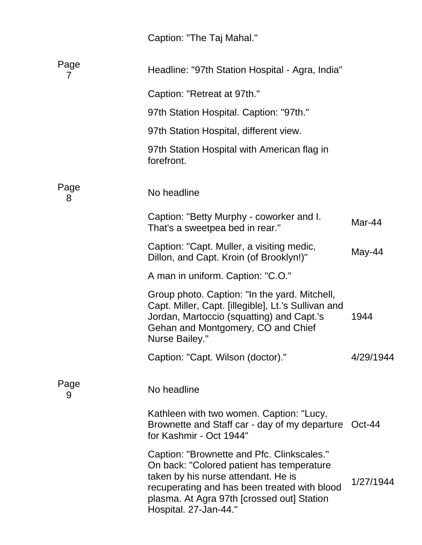| Caption: "The Taj Mahal." |  |  |  |  |
|---------------------------|--|--|--|--|
|---------------------------|--|--|--|--|

| Page<br>7 | Headline: "97th Station Hospital - Agra, India"                                                                                                                                                                                                       |           |
|-----------|-------------------------------------------------------------------------------------------------------------------------------------------------------------------------------------------------------------------------------------------------------|-----------|
|           | Caption: "Retreat at 97th."                                                                                                                                                                                                                           |           |
|           | 97th Station Hospital. Caption: "97th."                                                                                                                                                                                                               |           |
|           | 97th Station Hospital, different view.                                                                                                                                                                                                                |           |
|           | 97th Station Hospital with American flag in<br>forefront.                                                                                                                                                                                             |           |
| Page<br>8 | No headline                                                                                                                                                                                                                                           |           |
|           | Caption: "Betty Murphy - coworker and I.<br>That's a sweetpea bed in rear."                                                                                                                                                                           | Mar-44    |
|           | Caption: "Capt. Muller, a visiting medic,<br>Dillon, and Capt. Kroin (of Brooklyn!)"                                                                                                                                                                  | May-44    |
|           | A man in uniform. Caption: "C.O."                                                                                                                                                                                                                     |           |
|           | Group photo. Caption: "In the yard. Mitchell,<br>Capt. Miller, Capt. [illegible], Lt.'s Sullivan and<br>Jordan, Martoccio (squatting) and Capt.'s<br>Gehan and Montgomery, CO and Chief<br><b>Nurse Bailey."</b>                                      | 1944      |
|           | Caption: "Capt. Wilson (doctor)."                                                                                                                                                                                                                     | 4/29/1944 |
| Page<br>9 | No headline                                                                                                                                                                                                                                           |           |
|           | Kathleen with two women. Caption: "Lucy,<br>Brownette and Staff car - day of my departure Oct-44<br>for Kashmir - Oct 1944"                                                                                                                           |           |
|           | Caption: "Brownette and Pfc. Clinkscales."<br>On back: "Colored patient has temperature<br>taken by his nurse attendant. He is<br>recuperating and has been treated with blood<br>plasma. At Agra 97th [crossed out] Station<br>Hospital. 27-Jan-44." | 1/27/1944 |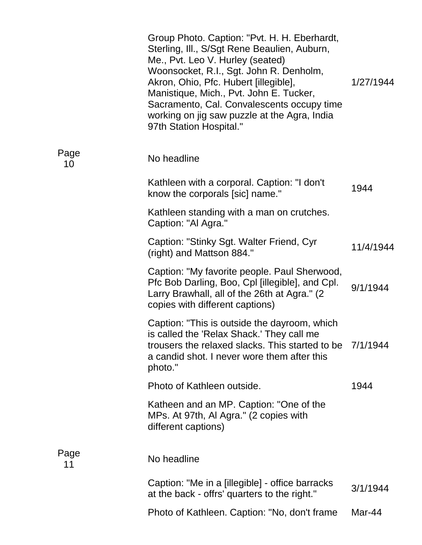|            | Group Photo. Caption: "Pvt. H. H. Eberhardt,<br>Sterling, Ill., S/Sgt Rene Beaulien, Auburn,<br>Me., Pvt. Leo V. Hurley (seated)<br>Woonsocket, R.I., Sgt. John R. Denholm,<br>Akron, Ohio, Pfc. Hubert [illegible],<br>Manistique, Mich., Pvt. John E. Tucker,<br>Sacramento, Cal. Convalescents occupy time<br>working on jig saw puzzle at the Agra, India<br>97th Station Hospital." | 1/27/1944 |
|------------|------------------------------------------------------------------------------------------------------------------------------------------------------------------------------------------------------------------------------------------------------------------------------------------------------------------------------------------------------------------------------------------|-----------|
| Page<br>10 | No headline                                                                                                                                                                                                                                                                                                                                                                              |           |
|            | Kathleen with a corporal. Caption: "I don't<br>know the corporals [sic] name."                                                                                                                                                                                                                                                                                                           | 1944      |
|            | Kathleen standing with a man on crutches.<br>Caption: "Al Agra."                                                                                                                                                                                                                                                                                                                         |           |
|            | Caption: "Stinky Sgt. Walter Friend, Cyr<br>(right) and Mattson 884."                                                                                                                                                                                                                                                                                                                    | 11/4/1944 |
|            | Caption: "My favorite people. Paul Sherwood,<br>Pfc Bob Darling, Boo, Cpl [illegible], and Cpl.<br>Larry Brawhall, all of the 26th at Agra." (2)<br>copies with different captions)                                                                                                                                                                                                      | 9/1/1944  |
|            | Caption: "This is outside the dayroom, which<br>is called the 'Relax Shack.' They call me<br>trousers the relaxed slacks. This started to be<br>a candid shot. I never wore them after this<br>photo."                                                                                                                                                                                   | 7/1/1944  |
|            | Photo of Kathleen outside.                                                                                                                                                                                                                                                                                                                                                               | 1944      |
|            | Katheen and an MP. Caption: "One of the<br>MPs. At 97th, Al Agra." (2 copies with<br>different captions)                                                                                                                                                                                                                                                                                 |           |
| Page<br>11 | No headline                                                                                                                                                                                                                                                                                                                                                                              |           |
|            | Caption: "Me in a [illegible] - office barracks<br>at the back - offrs' quarters to the right."                                                                                                                                                                                                                                                                                          | 3/1/1944  |
|            | Photo of Kathleen. Caption: "No, don't frame                                                                                                                                                                                                                                                                                                                                             | Mar-44    |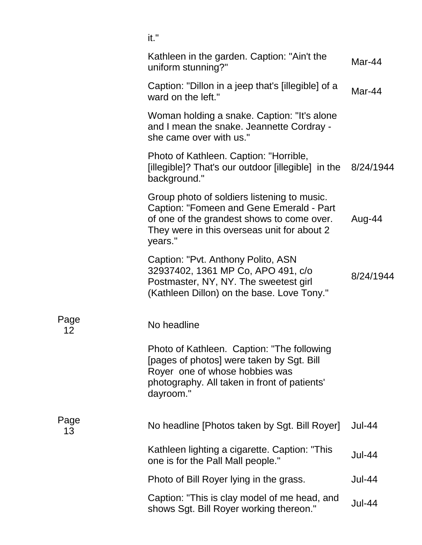|            | it."                                                                                                                                                                                            |               |
|------------|-------------------------------------------------------------------------------------------------------------------------------------------------------------------------------------------------|---------------|
|            | Kathleen in the garden. Caption: "Ain't the<br>uniform stunning?"                                                                                                                               | Mar-44        |
|            | Caption: "Dillon in a jeep that's [illegible] of a<br>ward on the left."                                                                                                                        | Mar-44        |
|            | Woman holding a snake. Caption: "It's alone<br>and I mean the snake. Jeannette Cordray -<br>she came over with us."                                                                             |               |
|            | Photo of Kathleen. Caption: "Horrible,<br>[illegible]? That's our outdoor [illegible] in the 8/24/1944<br>background."                                                                          |               |
|            | Group photo of soldiers listening to music.<br>Caption: "Fomeen and Gene Emerald - Part<br>of one of the grandest shows to come over.<br>They were in this overseas unit for about 2<br>years." | Aug-44        |
|            | Caption: "Pvt. Anthony Polito, ASN<br>32937402, 1361 MP Co, APO 491, c/o<br>Postmaster, NY, NY. The sweetest girl<br>(Kathleen Dillon) on the base. Love Tony."                                 | 8/24/1944     |
| Page<br>12 | No headline                                                                                                                                                                                     |               |
|            | Photo of Kathleen. Caption: "The following<br>[pages of photos] were taken by Sgt. Bill<br>Royer one of whose hobbies was<br>photography. All taken in front of patients'<br>dayroom."          |               |
| Page<br>13 | No headline [Photos taken by Sgt. Bill Royer]                                                                                                                                                   | <b>Jul-44</b> |
|            | Kathleen lighting a cigarette. Caption: "This<br>one is for the Pall Mall people."                                                                                                              | <b>Jul-44</b> |
|            | Photo of Bill Royer lying in the grass.                                                                                                                                                         | <b>Jul-44</b> |
|            | Caption: "This is clay model of me head, and<br>shows Sgt. Bill Royer working thereon."                                                                                                         | <b>Jul-44</b> |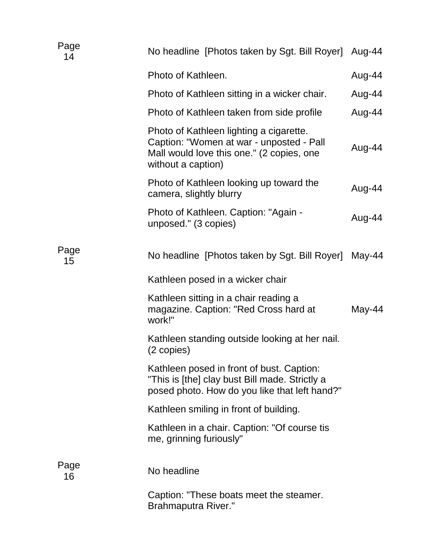| Page<br>14 | No headline [Photos taken by Sgt. Bill Royer] Aug-44                                                                                                   |        |
|------------|--------------------------------------------------------------------------------------------------------------------------------------------------------|--------|
|            | Photo of Kathleen.                                                                                                                                     | Aug-44 |
|            | Photo of Kathleen sitting in a wicker chair.                                                                                                           | Aug-44 |
|            | Photo of Kathleen taken from side profile                                                                                                              | Aug-44 |
|            | Photo of Kathleen lighting a cigarette.<br>Caption: "Women at war - unposted - Pall<br>Mall would love this one." (2 copies, one<br>without a caption) | Aug-44 |
|            | Photo of Kathleen looking up toward the<br>camera, slightly blurry                                                                                     | Aug-44 |
|            | Photo of Kathleen. Caption: "Again -<br>unposed." (3 copies)                                                                                           | Aug-44 |
| Page<br>15 | No headline [Photos taken by Sgt. Bill Royer]                                                                                                          | May-44 |
|            | Kathleen posed in a wicker chair                                                                                                                       |        |
|            | Kathleen sitting in a chair reading a<br>magazine. Caption: "Red Cross hard at<br>work!"                                                               | May-44 |
|            | Kathleen standing outside looking at her nail.<br>(2 copies)                                                                                           |        |
|            | Kathleen posed in front of bust. Caption:<br>"This is [the] clay bust Bill made. Strictly a<br>posed photo. How do you like that left hand?"           |        |
|            | Kathleen smiling in front of building.                                                                                                                 |        |
|            | Kathleen in a chair. Caption: "Of course tis<br>me, grinning furiously"                                                                                |        |
| Page<br>16 | No headline                                                                                                                                            |        |
|            | Caption: "These boats meet the steamer.<br><b>Brahmaputra River."</b>                                                                                  |        |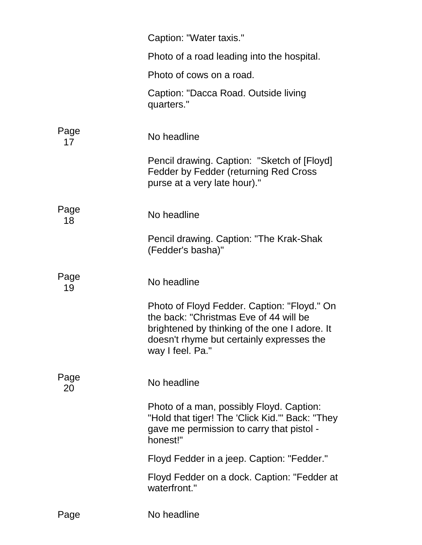|            | Caption: "Water taxis."                                                                                                                                                                                 |
|------------|---------------------------------------------------------------------------------------------------------------------------------------------------------------------------------------------------------|
|            | Photo of a road leading into the hospital.                                                                                                                                                              |
|            | Photo of cows on a road.                                                                                                                                                                                |
|            | Caption: "Dacca Road. Outside living<br>quarters."                                                                                                                                                      |
| Page<br>17 | No headline                                                                                                                                                                                             |
|            | Pencil drawing. Caption: "Sketch of [Floyd]<br>Fedder by Fedder (returning Red Cross<br>purse at a very late hour)."                                                                                    |
| Page<br>18 | No headline                                                                                                                                                                                             |
|            | Pencil drawing. Caption: "The Krak-Shak<br>(Fedder's basha)"                                                                                                                                            |
| Page<br>19 | No headline                                                                                                                                                                                             |
|            | Photo of Floyd Fedder. Caption: "Floyd." On<br>the back: "Christmas Eve of 44 will be<br>brightened by thinking of the one I adore. It<br>doesn't rhyme but certainly expresses the<br>way I feel. Pa." |
| Page<br>20 | No headline                                                                                                                                                                                             |
|            | Photo of a man, possibly Floyd. Caption:<br>"Hold that tiger! The 'Click Kid.'" Back: "They<br>gave me permission to carry that pistol -<br>honest!"                                                    |
|            | Floyd Fedder in a jeep. Caption: "Fedder."                                                                                                                                                              |
|            | Floyd Fedder on a dock. Caption: "Fedder at<br>waterfront."                                                                                                                                             |
| Page       | No headline                                                                                                                                                                                             |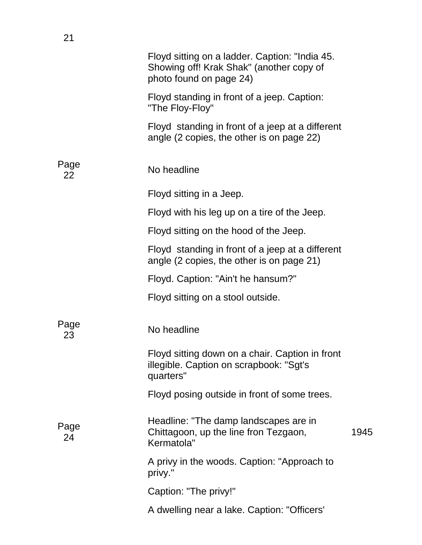|            | Floyd sitting on a ladder. Caption: "India 45.<br>Showing off! Krak Shak" (another copy of<br>photo found on page 24) |      |
|------------|-----------------------------------------------------------------------------------------------------------------------|------|
|            | Floyd standing in front of a jeep. Caption:<br>"The Floy-Floy"                                                        |      |
|            | Floyd standing in front of a jeep at a different<br>angle (2 copies, the other is on page 22)                         |      |
| Page<br>22 | No headline                                                                                                           |      |
|            | Floyd sitting in a Jeep.                                                                                              |      |
|            | Floyd with his leg up on a tire of the Jeep.                                                                          |      |
|            | Floyd sitting on the hood of the Jeep.                                                                                |      |
|            | Floyd standing in front of a jeep at a different<br>angle (2 copies, the other is on page 21)                         |      |
|            | Floyd. Caption: "Ain't he hansum?"                                                                                    |      |
|            | Floyd sitting on a stool outside.                                                                                     |      |
| Page<br>23 | No headline                                                                                                           |      |
|            | Floyd sitting down on a chair. Caption in front<br>illegible. Caption on scrapbook: "Sgt's<br>quarters"               |      |
|            | Floyd posing outside in front of some trees.                                                                          |      |
| Page<br>24 | Headline: "The damp landscapes are in<br>Chittagoon, up the line fron Tezgaon,<br>Kermatola"                          | 1945 |
|            | A privy in the woods. Caption: "Approach to<br>privy."                                                                |      |
|            | Caption: "The privy!"                                                                                                 |      |
|            | A dwelling near a lake. Caption: "Officers'                                                                           |      |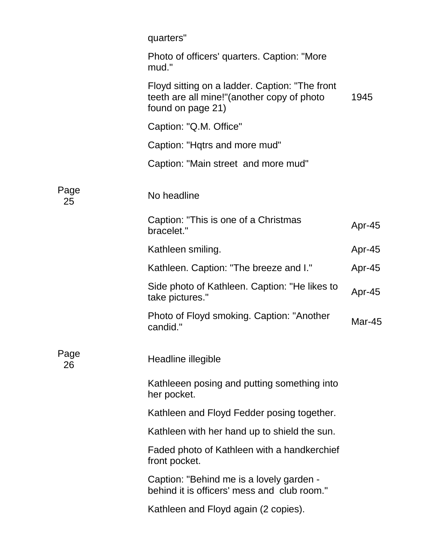|            | quarters"                                                                                                          |        |
|------------|--------------------------------------------------------------------------------------------------------------------|--------|
|            | Photo of officers' quarters. Caption: "More<br>mud."                                                               |        |
|            | Floyd sitting on a ladder. Caption: "The front<br>teeth are all mine!" (another copy of photo<br>found on page 21) | 1945   |
|            | Caption: "Q.M. Office"                                                                                             |        |
|            | Caption: "Hqtrs and more mud"                                                                                      |        |
|            | Caption: "Main street and more mud"                                                                                |        |
| Page<br>25 | No headline                                                                                                        |        |
|            | Caption: "This is one of a Christmas<br>bracelet."                                                                 | Apr-45 |
|            | Kathleen smiling.                                                                                                  | Apr-45 |
|            | Kathleen. Caption: "The breeze and I."                                                                             | Apr-45 |
|            | Side photo of Kathleen. Caption: "He likes to<br>take pictures."                                                   | Apr-45 |
|            | Photo of Floyd smoking. Caption: "Another<br>candid."                                                              | Mar-45 |
| Page<br>26 | Headline illegible                                                                                                 |        |
|            | Kathleeen posing and putting something into<br>her pocket.                                                         |        |
|            | Kathleen and Floyd Fedder posing together.                                                                         |        |
|            | Kathleen with her hand up to shield the sun.                                                                       |        |
|            | Faded photo of Kathleen with a handkerchief<br>front pocket.                                                       |        |
|            | Caption: "Behind me is a lovely garden -<br>behind it is officers' mess and club room."                            |        |
|            | Kathleen and Floyd again (2 copies).                                                                               |        |
|            |                                                                                                                    |        |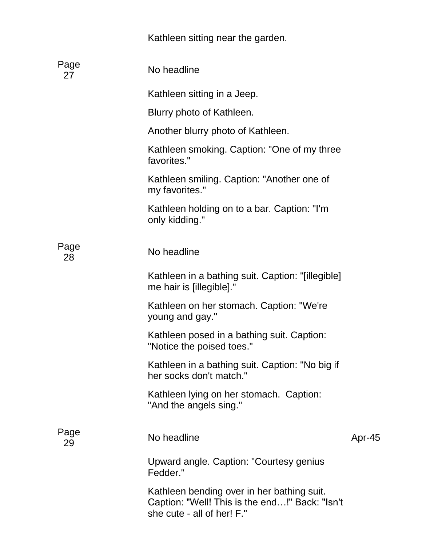|            | Kathleen sitting near the garden.                                                                                          |        |
|------------|----------------------------------------------------------------------------------------------------------------------------|--------|
| Page<br>27 | No headline                                                                                                                |        |
|            | Kathleen sitting in a Jeep.                                                                                                |        |
|            | Blurry photo of Kathleen.                                                                                                  |        |
|            | Another blurry photo of Kathleen.                                                                                          |        |
|            | Kathleen smoking. Caption: "One of my three<br>favorites."                                                                 |        |
|            | Kathleen smiling. Caption: "Another one of<br>my favorites."                                                               |        |
|            | Kathleen holding on to a bar. Caption: "I'm<br>only kidding."                                                              |        |
| Page<br>28 | No headline                                                                                                                |        |
|            | Kathleen in a bathing suit. Caption: "[illegible]<br>me hair is [illegible]."                                              |        |
|            | Kathleen on her stomach. Caption: "We're<br>young and gay."                                                                |        |
|            | Kathleen posed in a bathing suit. Caption:<br>"Notice the poised toes."                                                    |        |
|            | Kathleen in a bathing suit. Caption: "No big if<br>her socks don't match."                                                 |        |
|            | Kathleen lying on her stomach. Caption:<br>"And the angels sing."                                                          |        |
| Page<br>29 | No headline                                                                                                                | Apr-45 |
|            | Upward angle. Caption: "Courtesy genius<br>Fedder."                                                                        |        |
|            | Kathleen bending over in her bathing suit.<br>Caption: "Well! This is the end!" Back: "Isn't<br>she cute - all of her! F." |        |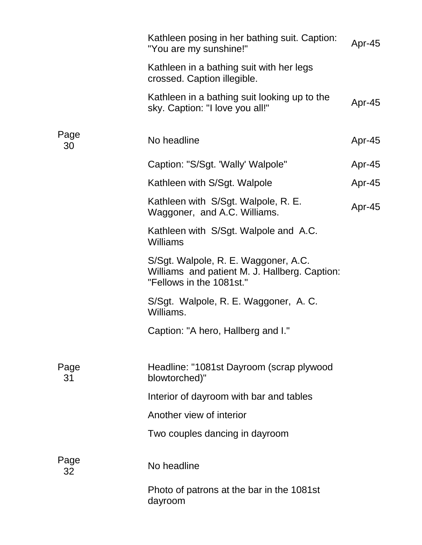|            | Kathleen posing in her bathing suit. Caption:<br>"You are my sunshine!"                                           | Apr-45 |
|------------|-------------------------------------------------------------------------------------------------------------------|--------|
|            | Kathleen in a bathing suit with her legs<br>crossed. Caption illegible.                                           |        |
|            | Kathleen in a bathing suit looking up to the<br>sky. Caption: "I love you all!"                                   | Apr-45 |
| Page<br>30 | No headline                                                                                                       | Apr-45 |
|            | Caption: "S/Sgt. 'Wally' Walpole"                                                                                 | Apr-45 |
|            | Kathleen with S/Sgt. Walpole                                                                                      | Apr-45 |
|            | Kathleen with S/Sgt. Walpole, R. E.<br>Waggoner, and A.C. Williams.                                               | Apr-45 |
|            | Kathleen with S/Sgt. Walpole and A.C.<br>Williams                                                                 |        |
|            | S/Sgt. Walpole, R. E. Waggoner, A.C.<br>Williams and patient M. J. Hallberg. Caption:<br>"Fellows in the 1081st." |        |
|            | S/Sgt. Walpole, R. E. Waggoner, A. C.<br>Williams.                                                                |        |
|            | Caption: "A hero, Hallberg and I."                                                                                |        |
| Page<br>31 | Headline: "1081st Dayroom (scrap plywood<br>blowtorched)"                                                         |        |
|            | Interior of dayroom with bar and tables                                                                           |        |
|            | Another view of interior                                                                                          |        |
|            | Two couples dancing in dayroom                                                                                    |        |
| Page<br>32 | No headline                                                                                                       |        |
|            | Photo of patrons at the bar in the 1081st<br>dayroom                                                              |        |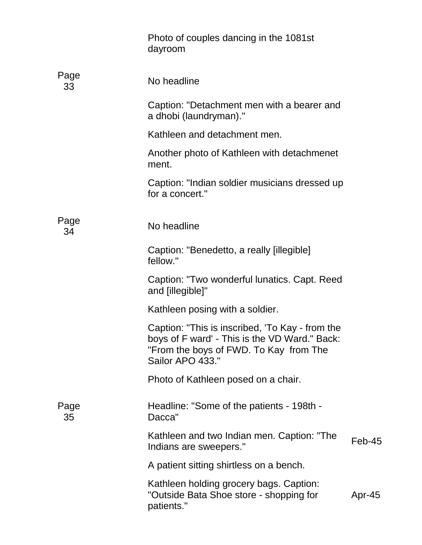|            | Photo of couples dancing in the 1081st<br>dayroom                                                                                                              |          |
|------------|----------------------------------------------------------------------------------------------------------------------------------------------------------------|----------|
| Page<br>33 | No headline                                                                                                                                                    |          |
|            | Caption: "Detachment men with a bearer and<br>a dhobi (laundryman)."                                                                                           |          |
|            | Kathleen and detachment men.                                                                                                                                   |          |
|            | Another photo of Kathleen with detachmenet<br>ment.                                                                                                            |          |
|            | Caption: "Indian soldier musicians dressed up<br>for a concert."                                                                                               |          |
| Page<br>34 | No headline                                                                                                                                                    |          |
|            | Caption: "Benedetto, a really [illegible]<br>fellow."                                                                                                          |          |
|            | Caption: "Two wonderful lunatics. Capt. Reed<br>and [illegible]"                                                                                               |          |
|            | Kathleen posing with a soldier.                                                                                                                                |          |
|            | Caption: "This is inscribed, 'To Kay - from the<br>boys of F ward' - This is the VD Ward." Back:<br>"From the boys of FWD. To Kay from The<br>Sailor APO 433." |          |
|            | Photo of Kathleen posed on a chair.                                                                                                                            |          |
| Page<br>35 | Headline: "Some of the patients - 198th -<br>Dacca"                                                                                                            |          |
|            | Kathleen and two Indian men. Caption: "The<br>Indians are sweepers."                                                                                           | $Feb-45$ |
|            | A patient sitting shirtless on a bench.                                                                                                                        |          |
|            | Kathleen holding grocery bags. Caption:<br>"Outside Bata Shoe store - shopping for<br>patients."                                                               | Apr-45   |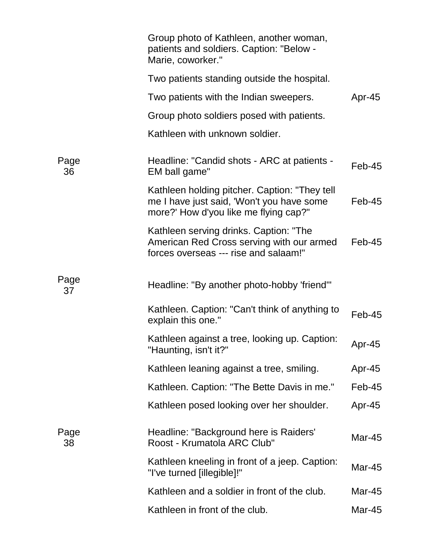|            | Group photo of Kathleen, another woman,<br>patients and soldiers. Caption: "Below -<br>Marie, coworker."                            |               |
|------------|-------------------------------------------------------------------------------------------------------------------------------------|---------------|
|            | Two patients standing outside the hospital.                                                                                         |               |
|            | Two patients with the Indian sweepers.                                                                                              | Apr-45        |
|            | Group photo soldiers posed with patients.                                                                                           |               |
|            | Kathleen with unknown soldier.                                                                                                      |               |
| Page<br>36 | Headline: "Candid shots - ARC at patients -<br>EM ball game"                                                                        | $Feb-45$      |
|            | Kathleen holding pitcher. Caption: "They tell<br>me I have just said, 'Won't you have some<br>more?' How d'you like me flying cap?" | $Feb-45$      |
|            | Kathleen serving drinks. Caption: "The<br>American Red Cross serving with our armed<br>forces overseas --- rise and salaam!"        | $Feb-45$      |
| Page<br>37 | Headline: "By another photo-hobby 'friend'"                                                                                         |               |
|            | Kathleen. Caption: "Can't think of anything to<br>explain this one."                                                                | $Feb-45$      |
|            | Kathleen against a tree, looking up. Caption:<br>"Haunting, isn't it?"                                                              | Apr-45        |
|            | Kathleen leaning against a tree, smiling.                                                                                           | Apr-45        |
|            | Kathleen. Caption: "The Bette Davis in me."                                                                                         | $Feb-45$      |
|            | Kathleen posed looking over her shoulder.                                                                                           | Apr-45        |
| Page<br>38 | Headline: "Background here is Raiders'<br>Roost - Krumatola ARC Club"                                                               | <b>Mar-45</b> |
|            | Kathleen kneeling in front of a jeep. Caption:<br>"I've turned [illegible]!"                                                        | Mar-45        |
|            | Kathleen and a soldier in front of the club.                                                                                        | Mar-45        |
|            | Kathleen in front of the club.                                                                                                      | Mar-45        |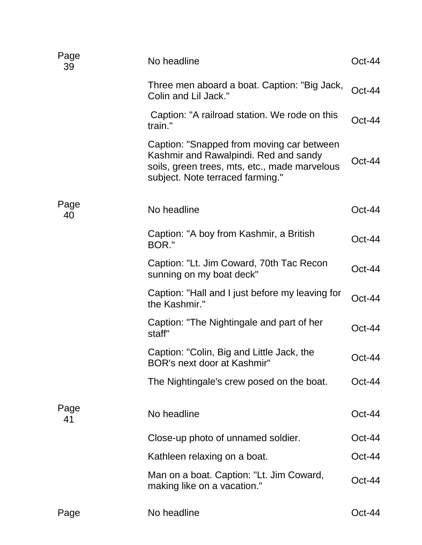| Page<br>39 | No headline                                                                                                                                                             | $Oct-44$ |
|------------|-------------------------------------------------------------------------------------------------------------------------------------------------------------------------|----------|
|            | Three men aboard a boat. Caption: "Big Jack,<br>Colin and Lil Jack."                                                                                                    | $Oct-44$ |
|            | Caption: "A railroad station. We rode on this<br>train."                                                                                                                | $Oct-44$ |
|            | Caption: "Snapped from moving car between<br>Kashmir and Rawalpindi. Red and sandy<br>soils, green trees, mts, etc., made marvelous<br>subject. Note terraced farming." | $Oct-44$ |
| Page<br>40 | No headline                                                                                                                                                             | $Oct-44$ |
|            | Caption: "A boy from Kashmir, a British<br>BOR."                                                                                                                        | $Oct-44$ |
|            | Caption: "Lt. Jim Coward, 70th Tac Recon<br>sunning on my boat deck"                                                                                                    | $Oct-44$ |
|            | Caption: "Hall and I just before my leaving for<br>the Kashmir."                                                                                                        | $Oct-44$ |
|            | Caption: "The Nightingale and part of her<br>staff"                                                                                                                     | $Oct-44$ |
|            | Caption: "Colin, Big and Little Jack, the<br>BOR's next door at Kashmir"                                                                                                | Oct-44   |
|            | The Nightingale's crew posed on the boat.                                                                                                                               | $Oct-44$ |
| Page<br>41 | No headline                                                                                                                                                             | $Oct-44$ |
|            | Close-up photo of unnamed soldier.                                                                                                                                      | $Oct-44$ |
|            | Kathleen relaxing on a boat.                                                                                                                                            | Oct-44   |
|            | Man on a boat. Caption: "Lt. Jim Coward,<br>making like on a vacation."                                                                                                 | $Oct-44$ |
| Page       | No headline                                                                                                                                                             | Oct-44   |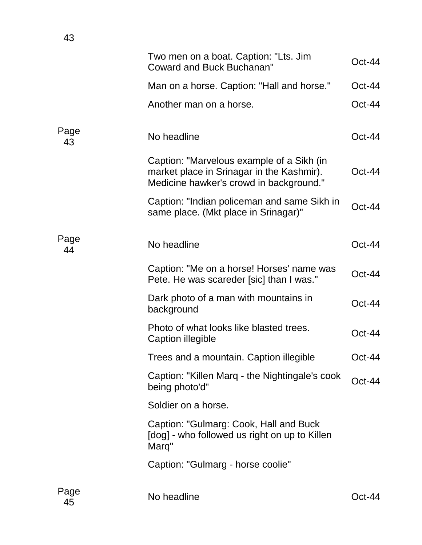|            | Two men on a boat. Caption: "Lts. Jim<br><b>Coward and Buck Buchanan"</b>                                                         | $Oct-44$ |
|------------|-----------------------------------------------------------------------------------------------------------------------------------|----------|
|            | Man on a horse. Caption: "Hall and horse."                                                                                        | $Oct-44$ |
|            | Another man on a horse.                                                                                                           | $Oct-44$ |
| Page<br>43 | No headline                                                                                                                       | $Oct-44$ |
|            | Caption: "Marvelous example of a Sikh (in<br>market place in Srinagar in the Kashmir).<br>Medicine hawker's crowd in background." | $Oct-44$ |
|            | Caption: "Indian policeman and same Sikh in<br>same place. (Mkt place in Srinagar)"                                               | Oct-44   |
| Page<br>44 | No headline                                                                                                                       | $Oct-44$ |
|            | Caption: "Me on a horse! Horses' name was<br>Pete. He was scareder [sic] than I was."                                             | Oct-44   |
|            | Dark photo of a man with mountains in<br>background                                                                               | $Oct-44$ |
|            | Photo of what looks like blasted trees.<br>Caption illegible                                                                      | $Oct-44$ |
|            | Trees and a mountain. Caption illegible                                                                                           | Oct-44   |
|            | Caption: "Killen Marq - the Nightingale's cook<br>being photo'd"                                                                  | $Oct-44$ |
|            | Soldier on a horse.                                                                                                               |          |
|            | Caption: "Gulmarg: Cook, Hall and Buck<br>[dog] - who followed us right on up to Killen<br>Marq"                                  |          |
|            | Caption: "Gulmarg - horse coolie"                                                                                                 |          |
| Page<br>45 | No headline                                                                                                                       | Oct-44   |

43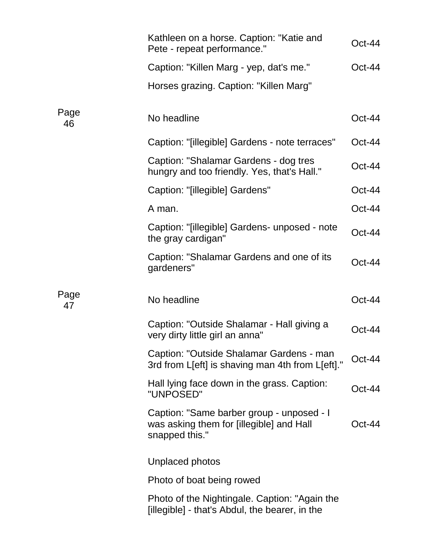|            | Kathleen on a horse. Caption: "Katie and<br>Pete - repeat performance."                                 | Oct-44   |
|------------|---------------------------------------------------------------------------------------------------------|----------|
|            | Caption: "Killen Marg - yep, dat's me."                                                                 | $Oct-44$ |
|            | Horses grazing. Caption: "Killen Marg"                                                                  |          |
| Page<br>46 | No headline                                                                                             | $Oct-44$ |
|            | Caption: "[illegible] Gardens - note terraces"                                                          | $Oct-44$ |
|            | Caption: "Shalamar Gardens - dog tres<br>hungry and too friendly. Yes, that's Hall."                    | Oct-44   |
|            | Caption: "[illegible] Gardens"                                                                          | $Oct-44$ |
|            | A man.                                                                                                  | $Oct-44$ |
|            | Caption: "[illegible] Gardens- unposed - note<br>the gray cardigan"                                     | $Oct-44$ |
|            | Caption: "Shalamar Gardens and one of its<br>gardeners"                                                 | $Oct-44$ |
| Page<br>47 | No headline                                                                                             | $Oct-44$ |
|            | Caption: "Outside Shalamar - Hall giving a<br>very dirty little girl an anna"                           | $Oct-44$ |
|            | Caption: "Outside Shalamar Gardens - man<br>3rd from L[eft] is shaving man 4th from L[eft]."            | Oct-44   |
|            | Hall lying face down in the grass. Caption:<br>"UNPOSED"                                                | Oct-44   |
|            | Caption: "Same barber group - unposed - I<br>was asking them for [illegible] and Hall<br>snapped this." | Oct-44   |
|            | Unplaced photos                                                                                         |          |
|            | Photo of boat being rowed                                                                               |          |
|            | Photo of the Nightingale. Caption: "Again the<br>[illegible] - that's Abdul, the bearer, in the         |          |